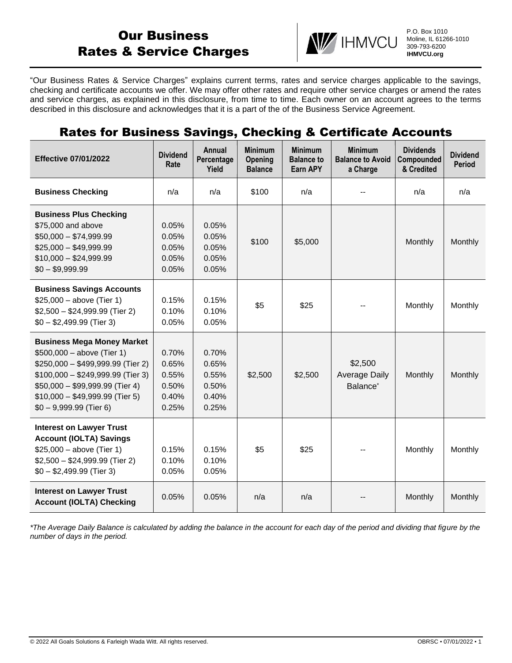# Our Business Rates & Service Charges



P.O. Box 1010 Moline, IL 61266-1010 309-793-6200 **IHMVCU.org**

"Our Business Rates & Service Charges" explains current terms, rates and service charges applicable to the savings, checking and certificate accounts we offer. We may offer other rates and require other service charges or amend the rates and service charges, as explained in this disclosure, from time to time. Each owner on an account agrees to the terms described in this disclosure and acknowledges that it is a part of the of the Business Service Agreement.

## Rates for Business Savings, Checking & Certificate Accounts

| <b>Effective 07/01/2022</b>                                                                                                                                                                                                                  | <b>Dividend</b><br>Rate                            | <b>Annual</b><br>Percentage<br>Yield               | <b>Minimum</b><br>Opening<br><b>Balance</b> | <b>Minimum</b><br><b>Balance to</b><br>Earn APY | <b>Minimum</b><br><b>Balance to Avoid</b><br>a Charge   | <b>Dividends</b><br>Compounded<br>& Credited | <b>Dividend</b><br><b>Period</b> |
|----------------------------------------------------------------------------------------------------------------------------------------------------------------------------------------------------------------------------------------------|----------------------------------------------------|----------------------------------------------------|---------------------------------------------|-------------------------------------------------|---------------------------------------------------------|----------------------------------------------|----------------------------------|
| <b>Business Checking</b>                                                                                                                                                                                                                     | n/a                                                | n/a                                                | \$100                                       | n/a                                             |                                                         | n/a                                          | n/a                              |
| <b>Business Plus Checking</b><br>\$75,000 and above<br>$$50,000 - $74,999.99$<br>$$25,000 - $49,999.99$<br>$$10,000 - $24,999.99$<br>$$0 - $9,999.99$                                                                                        | 0.05%<br>0.05%<br>0.05%<br>0.05%<br>0.05%          | 0.05%<br>0.05%<br>0.05%<br>0.05%<br>0.05%          | \$100                                       | \$5,000                                         |                                                         | Monthly                                      | Monthly                          |
| <b>Business Savings Accounts</b><br>$$25,000 - above (Tier 1)$<br>$$2,500 - $24,999.99$ (Tier 2)<br>$$0 - $2,499.99$ (Tier 3)                                                                                                                | 0.15%<br>0.10%<br>0.05%                            | 0.15%<br>0.10%<br>0.05%                            | \$5                                         | \$25                                            |                                                         | Monthly                                      | Monthly                          |
| <b>Business Mega Money Market</b><br>$$500,000 - above (Tier 1)$<br>\$250,000 - \$499,999.99 (Tier 2)<br>$$100,000 - $249,999.99$ (Tier 3)<br>$$50,000 - $99,999.99$ (Tier 4)<br>$$10,000 - $49,999.99$ (Tier 5)<br>$$0 - 9,999.99$ (Tier 6) | 0.70%<br>0.65%<br>0.55%<br>0.50%<br>0.40%<br>0.25% | 0.70%<br>0.65%<br>0.55%<br>0.50%<br>0.40%<br>0.25% | \$2,500                                     | \$2,500                                         | \$2,500<br><b>Average Daily</b><br>Balance <sup>*</sup> | Monthly                                      | Monthly                          |
| <b>Interest on Lawyer Trust</b><br><b>Account (IOLTA) Savings</b><br>$$25,000 - above (Tier 1)$<br>$$2,500 - $24,999.99$ (Tier 2)<br>$$0 - $2,499.99$ (Tier 3)                                                                               | 0.15%<br>0.10%<br>0.05%                            | 0.15%<br>0.10%<br>0.05%                            | \$5                                         | \$25                                            |                                                         | Monthly                                      | Monthly                          |
| <b>Interest on Lawyer Trust</b><br><b>Account (IOLTA) Checking</b>                                                                                                                                                                           | 0.05%                                              | 0.05%                                              | n/a                                         | n/a                                             |                                                         | Monthly                                      | Monthly                          |

*\*The Average Daily Balance is calculated by adding the balance in the account for each day of the period and dividing that figure by the number of days in the period.*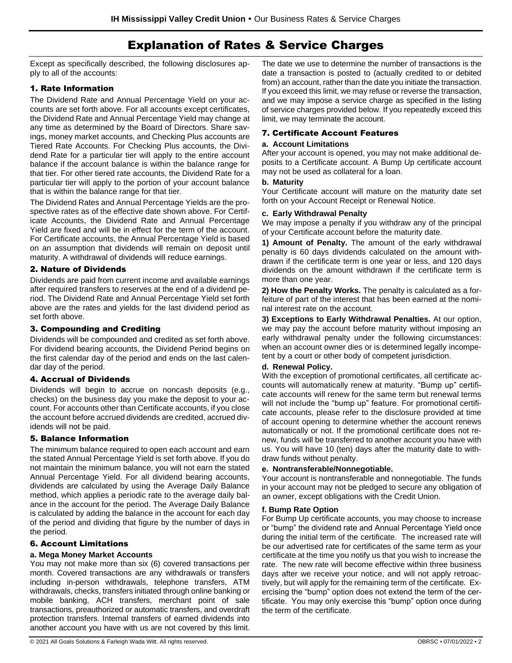## Explanation of Rates & Service Charges

Except as specifically described, the following disclosures apply to all of the accounts:

## 1. Rate Information

The Dividend Rate and Annual Percentage Yield on your accounts are set forth above. For all accounts except certificates, the Dividend Rate and Annual Percentage Yield may change at any time as determined by the Board of Directors. Share savings, money market accounts, and Checking Plus accounts are Tiered Rate Accounts. For Checking Plus accounts, the Dividend Rate for a particular tier will apply to the entire account balance if the account balance is within the balance range for that tier. For other tiered rate accounts, the Dividend Rate for a particular tier will apply to the portion of your account balance that is within the balance range for that tier.

The Dividend Rates and Annual Percentage Yields are the prospective rates as of the effective date shown above. For Certificate Accounts, the Dividend Rate and Annual Percentage Yield are fixed and will be in effect for the term of the account. For Certificate accounts, the Annual Percentage Yield is based on an assumption that dividends will remain on deposit until maturity. A withdrawal of dividends will reduce earnings.

### 2. Nature of Dividends

Dividends are paid from current income and available earnings after required transfers to reserves at the end of a dividend period. The Dividend Rate and Annual Percentage Yield set forth above are the rates and yields for the last dividend period as set forth above.

#### 3. Compounding and Crediting

Dividends will be compounded and credited as set forth above. For dividend bearing accounts, the Dividend Period begins on the first calendar day of the period and ends on the last calendar day of the period.

#### 4. Accrual of Dividends

Dividends will begin to accrue on noncash deposits (e.g., checks) on the business day you make the deposit to your account. For accounts other than Certificate accounts, if you close the account before accrued dividends are credited, accrued dividends will not be paid.

#### 5. Balance Information

The minimum balance required to open each account and earn the stated Annual Percentage Yield is set forth above. If you do not maintain the minimum balance, you will not earn the stated Annual Percentage Yield. For all dividend bearing accounts, dividends are calculated by using the Average Daily Balance method, which applies a periodic rate to the average daily balance in the account for the period. The Average Daily Balance is calculated by adding the balance in the account for each day of the period and dividing that figure by the number of days in the period.

## 6. Account Limitations

#### **a. Mega Money Market Accounts**

You may not make more than six (6) covered transactions per month. Covered transactions are any withdrawals or transfers including in-person withdrawals, telephone transfers, ATM withdrawals, checks, transfers initiated through online banking or mobile banking, ACH transfers, merchant point of sale transactions, preauthorized or automatic transfers, and overdraft protection transfers. Internal transfers of earned dividends into another account you have with us are not covered by this limit.

The date we use to determine the number of transactions is the date a transaction is posted to (actually credited to or debited from) an account, rather than the date you initiate the transaction. If you exceed this limit, we may refuse or reverse the transaction, and we may impose a service charge as specified in the listing of service charges provided below. If you repeatedly exceed this limit, we may terminate the account.

### 7. Certificate Account Features

#### **a. Account Limitations**

After your account is opened, you may not make additional deposits to a Certificate account. A Bump Up certificate account may not be used as collateral for a loan.

#### **b. Maturity**

Your Certificate account will mature on the maturity date set forth on your Account Receipt or Renewal Notice.

#### **c. Early Withdrawal Penalty**

We may impose a penalty if you withdraw any of the principal of your Certificate account before the maturity date.

**1) Amount of Penalty.** The amount of the early withdrawal penalty is 60 days dividends calculated on the amount withdrawn if the certificate term is one year or less, and 120 days dividends on the amount withdrawn if the certificate term is more than one year.

**2) How the Penalty Works.** The penalty is calculated as a forfeiture of part of the interest that has been earned at the nominal interest rate on the account.

**3) Exceptions to Early Withdrawal Penalties.** At our option, we may pay the account before maturity without imposing an early withdrawal penalty under the following circumstances: when an account owner dies or is determined legally incompetent by a court or other body of competent jurisdiction.

#### **d. Renewal Policy.**

With the exception of promotional certificates, all certificate accounts will automatically renew at maturity. "Bump up" certificate accounts will renew for the same term but renewal terms will not include the "bump up" feature. For promotional certificate accounts, please refer to the disclosure provided at time of account opening to determine whether the account renews automatically or not. If the promotional certificate does not renew, funds will be transferred to another account you have with us. You will have 10 (ten) days after the maturity date to withdraw funds without penalty.

#### **e. Nontransferable/Nonnegotiable.**

Your account is nontransferable and nonnegotiable. The funds in your account may not be pledged to secure any obligation of an owner, except obligations with the Credit Union.

#### **f. Bump Rate Option**

For Bump Up certificate accounts, you may choose to increase or "bump" the dividend rate and Annual Percentage Yield once during the initial term of the certificate. The increased rate will be our advertised rate for certificates of the same term as your certificate at the time you notify us that you wish to increase the rate. The new rate will become effective within three business days after we receive your notice, and will not apply retroactively, but will apply for the remaining term of the certificate. Exercising the "bump" option does not extend the term of the certificate. You may only exercise this "bump" option once during the term of the certificate.